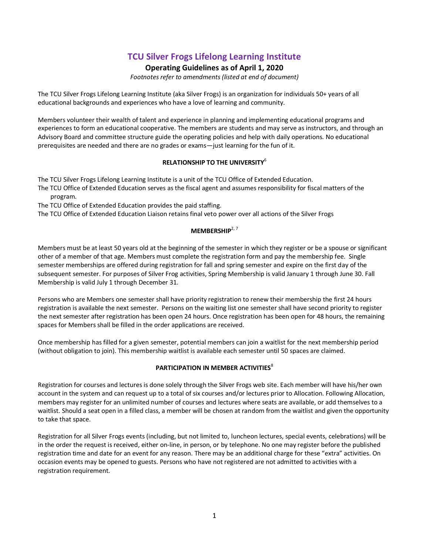# **TCU Silver Frogs Lifelong Learning Institute**

## **Operating Guidelines as of April 1, 2020**

*Footnotes refer to amendments (listed at end of document)*

The TCU Silver Frogs Lifelong Learning Institute (aka Silver Frogs) is an organization for individuals 50+ years of all educational backgrounds and experiences who have a love of learning and community.

Members volunteer their wealth of talent and experience in planning and implementing educational programs and experiences to form an educational cooperative. The members are students and may serve as instructors, and through an Advisory Board and committee structure guide the operating policies and help with daily operations. No educational prerequisites are needed and there are no grades or exams—just learning for the fun of it.

## **RELATIONSHIP TO THE UNIVERSITY**<sup>6</sup>

The TCU Silver Frogs Lifelong Learning Institute is a unit of the TCU Office of Extended Education.

The TCU Office of Extended Education serves as the fiscal agent and assumes responsibility for fiscal matters of the program.

The TCU Office of Extended Education provides the paid staffing.

The TCU Office of Extended Education Liaison retains final veto power over all actions of the Silver Frogs

## **MEMBERSHIP**2, <sup>7</sup>

Members must be at least 50 years old at the beginning of the semester in which they register or be a spouse or significant other of a member of that age. Members must complete the registration form and pay the membership fee. Single semester memberships are offered during registration for fall and spring semester and expire on the first day of the subsequent semester. For purposes of Silver Frog activities, Spring Membership is valid January 1 through June 30. Fall Membership is valid July 1 through December 31.

Persons who are Members one semester shall have priority registration to renew their membership the first 24 hours registration is available the next semester. Persons on the waiting list one semester shall have second priority to register the next semester after registration has been open 24 hours. Once registration has been open for 48 hours, the remaining spaces for Members shall be filled in the order applications are received.

Once membership has filled for a given semester, potential members can join a waitlist for the next membership period (without obligation to join). This membership waitlist is available each semester until 50 spaces are claimed.

## **PARTICIPATION IN MEMBER ACTIVITIES<sup>8</sup>**

Registration for courses and lectures is done solely through the Silver Frogs web site. Each member will have his/her own account in the system and can request up to a total of six courses and/or lectures prior to Allocation. Following Allocation, members may register for an unlimited number of courses and lectures where seats are available, or add themselves to a waitlist. Should a seat open in a filled class, a member will be chosen at random from the waitlist and given the opportunity to take that space.

Registration for all Silver Frogs events (including, but not limited to, luncheon lectures, special events, celebrations) will be in the order the request is received, either on-line, in person, or by telephone. No one may register before the published registration time and date for an event for any reason. There may be an additional charge for these "extra" activities. On occasion events may be opened to guests. Persons who have not registered are not admitted to activities with a registration requirement.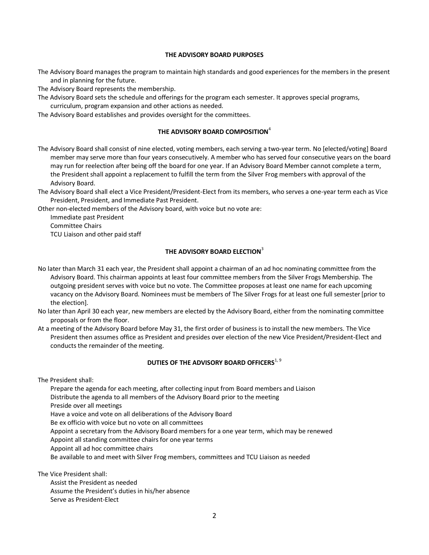### **THE ADVISORY BOARD PURPOSES**

The Advisory Board manages the program to maintain high standards and good experiences for the members in the present and in planning for the future.

The Advisory Board represents the membership.

The Advisory Board sets the schedule and offerings for the program each semester. It approves special programs, curriculum, program expansion and other actions as needed.

The Advisory Board establishes and provides oversight for the committees.

### **THE ADVISORY BOARD COMPOSITION**<sup>4</sup>

The Advisory Board shall consist of nine elected, voting members, each serving a two-year term. No [elected/voting] Board member may serve more than four years consecutively. A member who has served four consecutive years on the board may run for reelection after being off the board for one year. If an Advisory Board Member cannot complete a term, the President shall appoint a replacement to fulfill the term from the Silver Frog members with approval of the Advisory Board.

The Advisory Board shall elect a Vice President/President-Elect from its members, who serves a one-year term each as Vice President, President, and Immediate Past President.

Other non-elected members of the Advisory board, with voice but no vote are:

Immediate past President Committee Chairs TCU Liaison and other paid staff

## **THE ADVISORY BOARD ELECTION**<sup>3</sup>

- No later than March 31 each year, the President shall appoint a chairman of an ad hoc nominating committee from the Advisory Board. This chairman appoints at least four committee members from the Silver Frogs Membership. The outgoing president serves with voice but no vote. The Committee proposes at least one name for each upcoming vacancy on the Advisory Board. Nominees must be members of The Silver Frogs for at least one full semester[prior to the election].
- No later than April 30 each year, new members are elected by the Advisory Board, either from the nominating committee proposals or from the floor.
- At a meeting of the Advisory Board before May 31, the first order of business is to install the new members. The Vice President then assumes office as President and presides over election of the new Vice President/President-Elect and conducts the remainder of the meeting.

## **DUTIES OF THE ADVISORY BOARD OFFICERS**<sup>1, 9</sup>

The President shall:

Prepare the agenda for each meeting, after collecting input from Board members and Liaison Distribute the agenda to all members of the Advisory Board prior to the meeting Preside over all meetings

Have a voice and vote on all deliberations of the Advisory Board

Be ex officio with voice but no vote on all committees

Appoint a secretary from the Advisory Board members for a one year term, which may be renewed

Appoint all standing committee chairs for one year terms

Appoint all ad hoc committee chairs

Be available to and meet with Silver Frog members, committees and TCU Liaison as needed

The Vice President shall:

Assist the President as needed Assume the President's duties in his/her absence Serve as President-Elect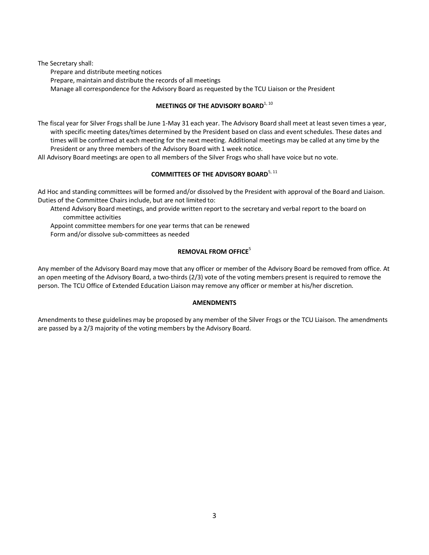The Secretary shall: Prepare and distribute meeting notices Prepare, maintain and distribute the records of all meetings Manage all correspondence for the Advisory Board as requested by the TCU Liaison or the President

## **MEETINGS OF THE ADVISORY BOARD**<sup>1, 10</sup>

The fiscal year for Silver Frogs shall be June 1-May 31 each year. The Advisory Board shall meet at least seven times a year, with specific meeting dates/times determined by the President based on class and event schedules. These dates and times will be confirmed at each meeting for the next meeting. Additional meetings may be called at any time by the President or any three members of the Advisory Board with 1 week notice.

All Advisory Board meetings are open to all members of the Silver Frogs who shall have voice but no vote.

## **COMMITTEES OF THE ADVISORY BOARD**<sup>5, 11</sup>

Ad Hoc and standing committees will be formed and/or dissolved by the President with approval of the Board and Liaison. Duties of the Committee Chairs include, but are not limited to:

Attend Advisory Board meetings, and provide written report to the secretary and verbal report to the board on committee activities

Appoint committee members for one year terms that can be renewed

Form and/or dissolve sub-committees as needed

## **REMOVAL FROM OFFICE**<sup>5</sup>

Any member of the Advisory Board may move that any officer or member of the Advisory Board be removed from office. At an open meeting of the Advisory Board, a two-thirds (2/3) vote of the voting members present is required to remove the person. The TCU Office of Extended Education Liaison may remove any officer or member at his/her discretion.

### **AMENDMENTS**

Amendments to these guidelines may be proposed by any member of the Silver Frogs or the TCU Liaison. The amendments are passed by a 2/3 majority of the voting members by the Advisory Board.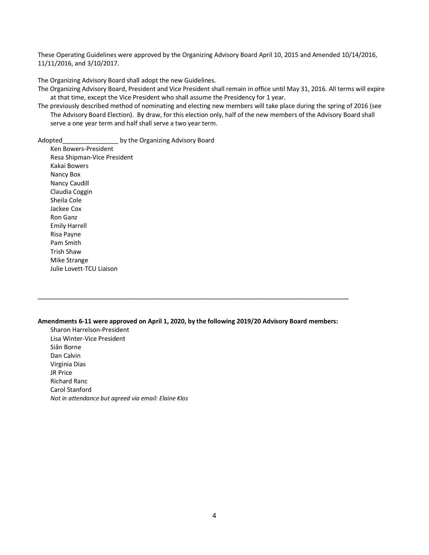These Operating Guidelines were approved by the Organizing Advisory Board April 10, 2015 and Amended 10/14/2016, 11/11/2016, and 3/10/2017.

The Organizing Advisory Board shall adopt the new Guidelines.

The Organizing Advisory Board, President and Vice President shall remain in office until May 31, 2016. All terms will expire at that time, except the Vice President who shall assume the Presidency for 1 year.

The previously described method of nominating and electing new members will take place during the spring of 2016 (see The Advisory Board Election). By draw, for this election only, half of the new members of the Advisory Board shall serve a one year term and half shall serve a two year term.

Adopted by the Organizing Advisory Board

Ken Bowers-President Resa Shipman-Vice President Kakai Bowers Nancy Box Nancy Caudill Claudia Coggin Sheila Cole Jackee Cox Ron Ganz Emily Harrell Risa Payne Pam Smith Trish Shaw Mike Strange Julie Lovett-TCU Liaison

#### **Amendments 6-11 were approved on April 1, 2020, by the following 2019/20 Advisory Board members:**

\_\_\_\_\_\_\_\_\_\_\_\_\_\_\_\_\_\_\_\_\_\_\_\_\_\_\_\_\_\_\_\_\_\_\_\_\_\_\_\_\_\_\_\_\_\_\_\_\_\_\_\_\_\_\_\_\_\_\_\_\_\_\_\_\_\_\_\_\_\_\_\_\_\_\_\_\_\_\_\_\_

Sharon Harrelson-President Lisa Winter-Vice President Siân Borne Dan Calvin Virginia Dias JR Price Richard Ranc Carol Stanford *Not in attendance but agreed via email: Elaine Klos*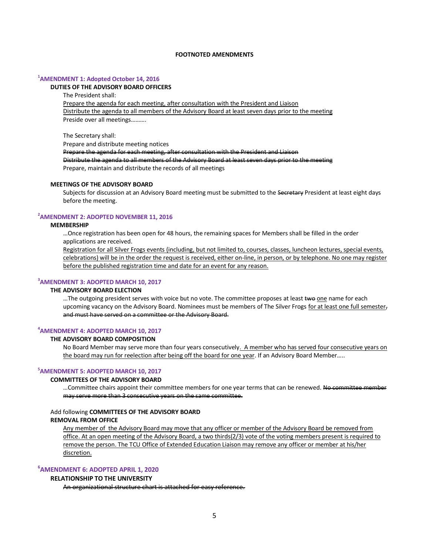### **FOOTNOTED AMENDMENTS**

### **1 AMENDMENT 1: Adopted October 14, 2016**

#### **DUTIES OF THE ADVISORY BOARD OFFICERS**

The President shall:

Prepare the agenda for each meeting, after consultation with the President and Liaison Distribute the agenda to all members of the Advisory Board at least seven days prior to the meeting Preside over all meetings……….

The Secretary shall:

Prepare and distribute meeting notices

Prepare the agenda for each meeting, after consultation with the President and Liaison Distribute the agenda to all members of the Advisory Board at least seven days prior to the meeting

Prepare, maintain and distribute the records of all meetings

### **MEETINGS OF THE ADVISORY BOARD**

Subjects for discussion at an Advisory Board meeting must be submitted to the Secretary President at least eight days before the meeting.

### **2 AMENDMENT 2: ADOPTED NOVEMBER 11, 2016**

#### **MEMBERSHIP**

…Once registration has been open for 48 hours, the remaining spaces for Members shall be filled in the order applications are received.

Registration for all Silver Frogs events (including, but not limited to, courses, classes, luncheon lectures, special events, celebrations) will be in the order the request is received, either on-line, in person, or by telephone. No one may register before the published registration time and date for an event for any reason.

## **3 AMENDMENT 3: ADOPTED MARCH 10, 2017**

#### **THE ADVISORY BOARD ELECTION**

...The outgoing president serves with voice but no vote. The committee proposes at least two one name for each upcoming vacancy on the Advisory Board. Nominees must be members of The Silver Frogs for at least one full semester, and must have served on a committee or the Advisory Board.

### **4 AMENDMENT 4: ADOPTED MARCH 10, 2017**

### **THE ADVISORY BOARD COMPOSITION**

No Board Member may serve more than four years consecutively. A member who has served four consecutive years on the board may run for reelection after being off the board for one year. If an Advisory Board Member…..

### **5 AMENDMENT 5: ADOPTED MARCH 10, 2017**

#### **COMMITTEES OF THE ADVISORY BOARD**

... Committee chairs appoint their committee members for one year terms that can be renewed. No committee member may serve more than 3 consecutive years on the same committee.

### Add following **COMMITTEES OF THE ADVISORY BOARD**

### **REMOVAL FROM OFFICE**

Any member of the Advisory Board may move that any officer or member of the Advisory Board be removed from office. At an open meeting of the Advisory Board, a two thirds(2/3) vote of the voting members present is required to remove the person. The TCU Office of Extended Education Liaison may remove any officer or member at his/her discretion.

## **6 AMENDMENT 6: ADOPTED APRIL 1, 2020**

#### **RELATIONSHIP TO THE UNIVERSITY**

An organizational structure chart is attached for easy reference.